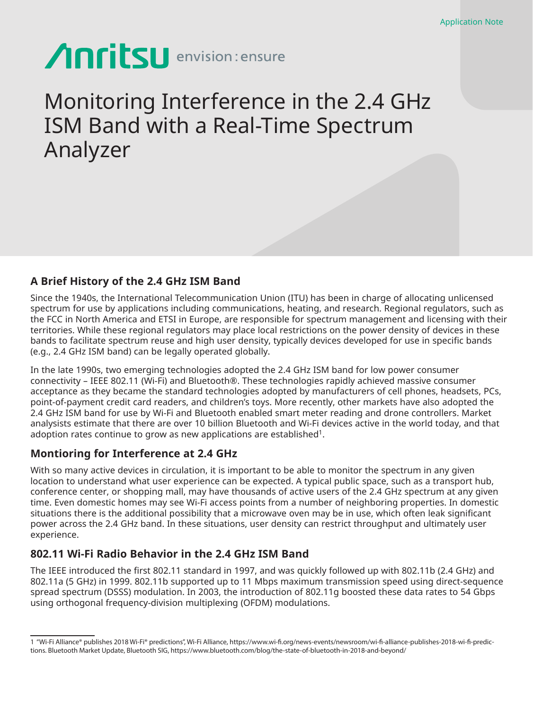# **Anritsu** envision: ensure

# Monitoring Interference in the 2.4 GHz ISM Band with a Real-Time Spectrum Analyzer

# **A Brief History of the 2.4 GHz ISM Band**

Since the 1940s, the International Telecommunication Union (ITU) has been in charge of allocating unlicensed spectrum for use by applications including communications, heating, and research. Regional regulators, such as the FCC in North America and ETSI in Europe, are responsible for spectrum management and licensing with their territories. While these regional regulators may place local restrictions on the power density of devices in these bands to facilitate spectrum reuse and high user density, typically devices developed for use in specific bands (e.g., 2.4 GHz ISM band) can be legally operated globally.

In the late 1990s, two emerging technologies adopted the 2.4 GHz ISM band for low power consumer connectivity – IEEE 802.11 (Wi-Fi) and Bluetooth®. These technologies rapidly achieved massive consumer acceptance as they became the standard technologies adopted by manufacturers of cell phones, headsets, PCs, point-of-payment credit card readers, and children's toys. More recently, other markets have also adopted the 2.4 GHz ISM band for use by Wi-Fi and Bluetooth enabled smart meter reading and drone controllers. Market analysists estimate that there are over 10 billion Bluetooth and Wi-Fi devices active in the world today, and that adoption rates continue to grow as new applications are established<sup>1</sup>.

# **Montioring for Interference at 2.4 GHz**

With so many active devices in circulation, it is important to be able to monitor the spectrum in any given location to understand what user experience can be expected. A typical public space, such as a transport hub, conference center, or shopping mall, may have thousands of active users of the 2.4 GHz spectrum at any given time. Even domestic homes may see Wi-Fi access points from a number of neighboring properties. In domestic situations there is the additional possibility that a microwave oven may be in use, which often leak significant power across the 2.4 GHz band. In these situations, user density can restrict throughput and ultimately user experience.

# **802.11 Wi-Fi Radio Behavior in the 2.4 GHz ISM Band**

The IEEE introduced the first 802.11 standard in 1997, and was quickly followed up with 802.11b (2.4 GHz) and 802.11a (5 GHz) in 1999. 802.11b supported up to 11 Mbps maximum transmission speed using direct-sequence spread spectrum (DSSS) modulation. In 2003, the introduction of 802.11g boosted these data rates to 54 Gbps using orthogonal frequency-division multiplexing (OFDM) modulations.

<sup>1 &</sup>quot;Wi-Fi Alliance® publishes 2018 Wi-Fi® predictions", Wi-Fi Alliance, https://www.wi-fi.org/news-events/newsroom/wi-fi-alliance-publishes-2018-wi-fi-predictions. Bluetooth Market Update, Bluetooth SIG, https://www.bluetooth.com/blog/the-state-of-bluetooth-in-2018-and-beyond/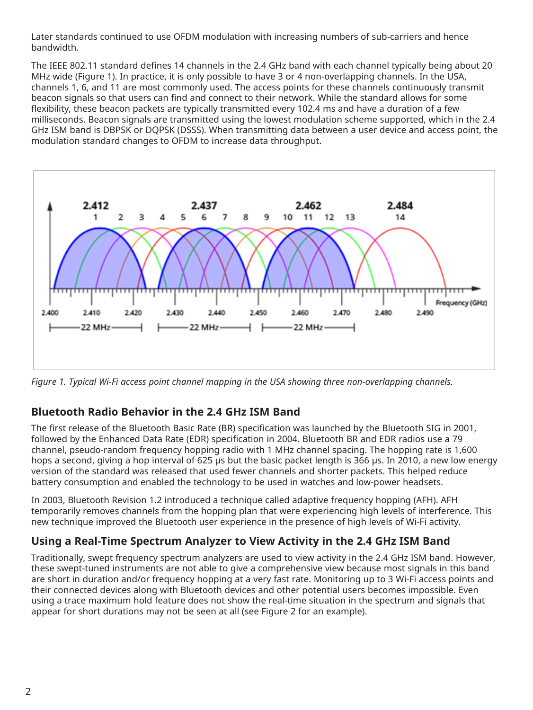Later standards continued to use OFDM modulation with increasing numbers of sub-carriers and hence bandwidth.

The IEEE 802.11 standard defines 14 channels in the 2.4 GHz band with each channel typically being about 20 MHz wide (Figure 1). In practice, it is only possible to have 3 or 4 non-overlapping channels. In the USA, channels 1, 6, and 11 are most commonly used. The access points for these channels continuously transmit beacon signals so that users can find and connect to their network. While the standard allows for some flexibility, these beacon packets are typically transmitted every 102.4 ms and have a duration of a few milliseconds. Beacon signals are transmitted using the lowest modulation scheme supported, which in the 2.4 GHz ISM band is DBPSK or DQPSK (DSSS). When transmitting data between a user device and access point, the modulation standard changes to OFDM to increase data throughput.



*Figure 1. Typical Wi-Fi access point channel mapping in the USA showing three non-overlapping channels.*

# **Bluetooth Radio Behavior in the 2.4 GHz ISM Band**

The first release of the Bluetooth Basic Rate (BR) specification was launched by the Bluetooth SIG in 2001, followed by the Enhanced Data Rate (EDR) specification in 2004. Bluetooth BR and EDR radios use a 79 channel, pseudo-random frequency hopping radio with 1 MHz channel spacing. The hopping rate is 1,600 hops a second, giving a hop interval of 625 µs but the basic packet length is 366 µs. In 2010, a new low energy version of the standard was released that used fewer channels and shorter packets. This helped reduce battery consumption and enabled the technology to be used in watches and low-power headsets.

In 2003, Bluetooth Revision 1.2 introduced a technique called adaptive frequency hopping (AFH). AFH temporarily removes channels from the hopping plan that were experiencing high levels of interference. This new technique improved the Bluetooth user experience in the presence of high levels of Wi-Fi activity.

# **Using a Real-Time Spectrum Analyzer to View Activity in the 2.4 GHz ISM Band**

Traditionally, swept frequency spectrum analyzers are used to view activity in the 2.4 GHz ISM band. However, these swept-tuned instruments are not able to give a comprehensive view because most signals in this band are short in duration and/or frequency hopping at a very fast rate. Monitoring up to 3 Wi-Fi access points and their connected devices along with Bluetooth devices and other potential users becomes impossible. Even using a trace maximum hold feature does not show the real-time situation in the spectrum and signals that appear for short durations may not be seen at all (see Figure 2 for an example).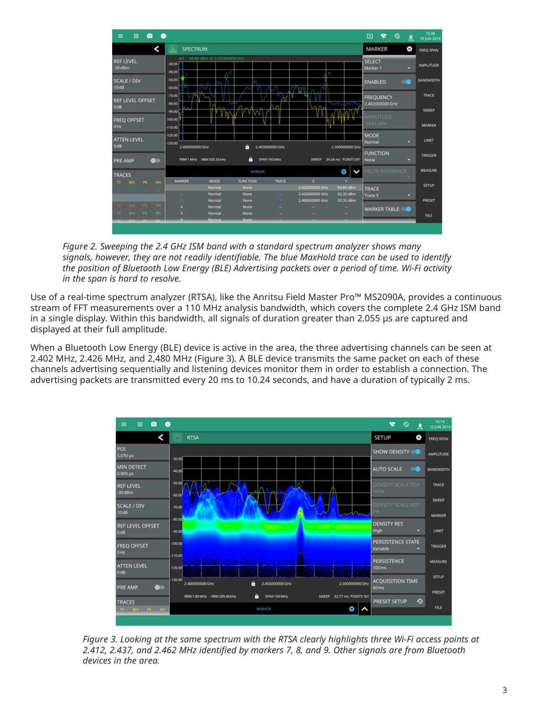

*Figure 2. Sweeping the 2.4 GHz ISM band with a standard spectrum analyzer shows many signals, however, they are not readily identifiable. The blue MaxHold trace can be used to identify the position of Bluetooth Low Energy (BLE) Advertising packets over a period of time. Wi-Fi activity in the span is hard to resolve.*

Use of a real-time spectrum analyzer (RTSA), like the Anritsu Field Master Pro™ MS2090A, provides a continuous stream of FFT measurements over a 110 MHz analysis bandwidth, which covers the complete 2.4 GHz ISM band in a single display. Within this bandwidth, all signals of duration greater than 2.055 µs are captured and displayed at their full amplitude.

When a Bluetooth Low Energy (BLE) device is active in the area, the three advertising channels can be seen at 2.402 MHz, 2.426 MHz, and 2,480 MHz (Figure 3). A BLE device transmits the same packet on each of these channels advertising sequentially and listening devices monitor them in order to establish a connection. The advertising packets are transmitted every 20 ms to 10.24 seconds, and have a duration of typically 2 ms.



*Figure 3. Looking at the same spectrum with the RTSA clearly highlights three Wi-Fi access points at 2.412, 2.437, and 2.462 MHz identified by markers 7, 8, and 9. Other signals are from Bluetooth devices in the area.*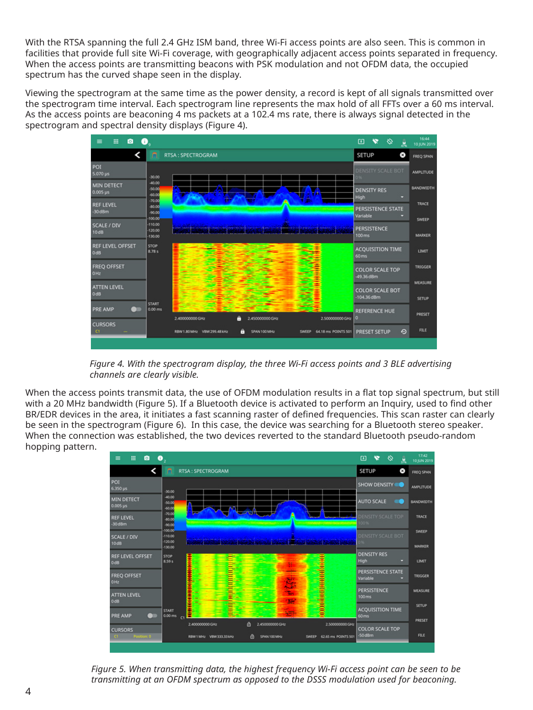With the RTSA spanning the full 2.4 GHz ISM band, three Wi-Fi access points are also seen. This is common in facilities that provide full site Wi-Fi coverage, with geographically adjacent access points separated in frequency. When the access points are transmitting beacons with PSK modulation and not OFDM data, the occupied spectrum has the curved shape seen in the display.

Viewing the spectrogram at the same time as the power density, a record is kept of all signals transmitted over the spectrogram time interval. Each spectrogram line represents the max hold of all FFTs over a 60 ms interval. As the access points are beaconing 4 ms packets at a 102.4 ms rate, there is always signal detected in the spectrogram and spectral density displays (Figure 4).



 *Figure 4. With the spectrogram display, the three Wi-Fi access points and 3 BLE advertising channels are clearly visible.*

When the access points transmit data, the use of OFDM modulation results in a flat top signal spectrum, but still with a 20 MHz bandwidth (Figure 5). If a Bluetooth device is activated to perform an Inquiry, used to find other BR/EDR devices in the area, it initiates a fast scanning raster of defined frequencies. This scan raster can clearly be seen in the spectrogram (Figure 6). In this case, the device was searching for a Bluetooth stereo speaker. When the connection was established, the two devices reverted to the standard Bluetooth pseudo-random hopping pattern.



*Figure 5. When transmitting data, the highest frequency Wi-Fi access point can be seen to be transmitting at an OFDM spectrum as opposed to the DSSS modulation used for beaconing.*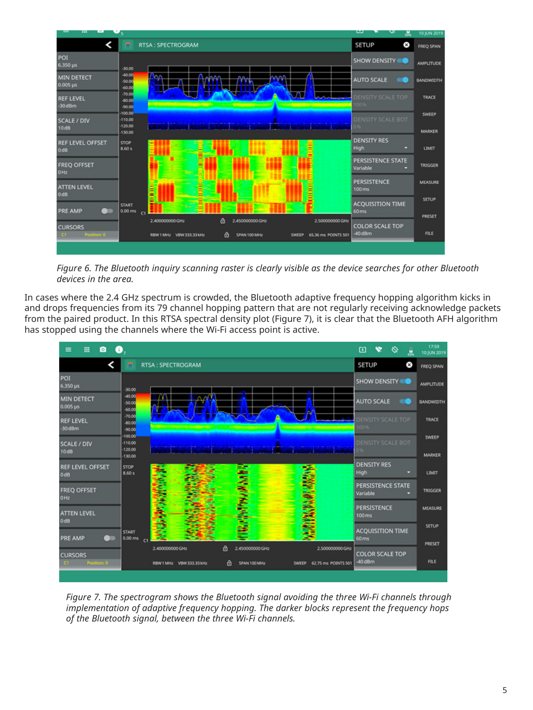

*Figure 6. The Bluetooth inquiry scanning raster is clearly visible as the device searches for other Bluetooth devices in the area.*

In cases where the 2.4 GHz spectrum is crowded, the Bluetooth adaptive frequency hopping algorithm kicks in and drops frequencies from its 79 channel hopping pattern that are not regularly receiving acknowledge packets from the paired product. In this RTSA spectral density plot (Figure 7), it is clear that the Bluetooth AFH algorithm has stopped using the channels where the Wi-Fi access point is active.



*Figure 7. The spectrogram shows the Bluetooth signal avoiding the three Wi-Fi channels through implementation of adaptive frequency hopping. The darker blocks represent the frequency hops of the Bluetooth signal, between the three Wi-Fi channels.*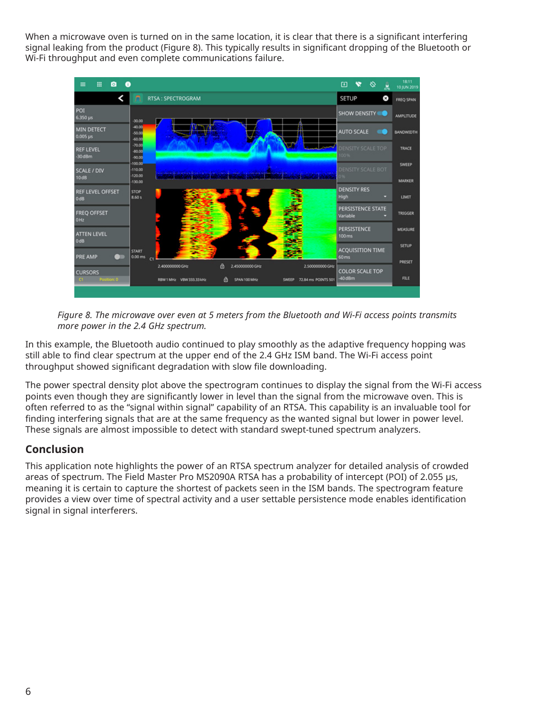When a microwave oven is turned on in the same location, it is clear that there is a significant interfering signal leaking from the product (Figure 8). This typically results in significant dropping of the Bluetooth or Wi-Fi throughput and even complete communications failure.



*Figure 8. The microwave over even at 5 meters from the Bluetooth and Wi-Fi access points transmits more power in the 2.4 GHz spectrum.*

In this example, the Bluetooth audio continued to play smoothly as the adaptive frequency hopping was still able to find clear spectrum at the upper end of the 2.4 GHz ISM band. The Wi-Fi access point throughput showed significant degradation with slow file downloading.

The power spectral density plot above the spectrogram continues to display the signal from the Wi-Fi access points even though they are significantly lower in level than the signal from the microwave oven. This is often referred to as the "signal within signal" capability of an RTSA. This capability is an invaluable tool for finding interfering signals that are at the same frequency as the wanted signal but lower in power level. These signals are almost impossible to detect with standard swept-tuned spectrum analyzers.

# **Conclusion**

This application note highlights the power of an RTSA spectrum analyzer for detailed analysis of crowded areas of spectrum. The Field Master Pro MS2090A RTSA has a probability of intercept (POI) of 2.055 µs, meaning it is certain to capture the shortest of packets seen in the ISM bands. The spectrogram feature provides a view over time of spectral activity and a user settable persistence mode enables identification signal in signal interferers.